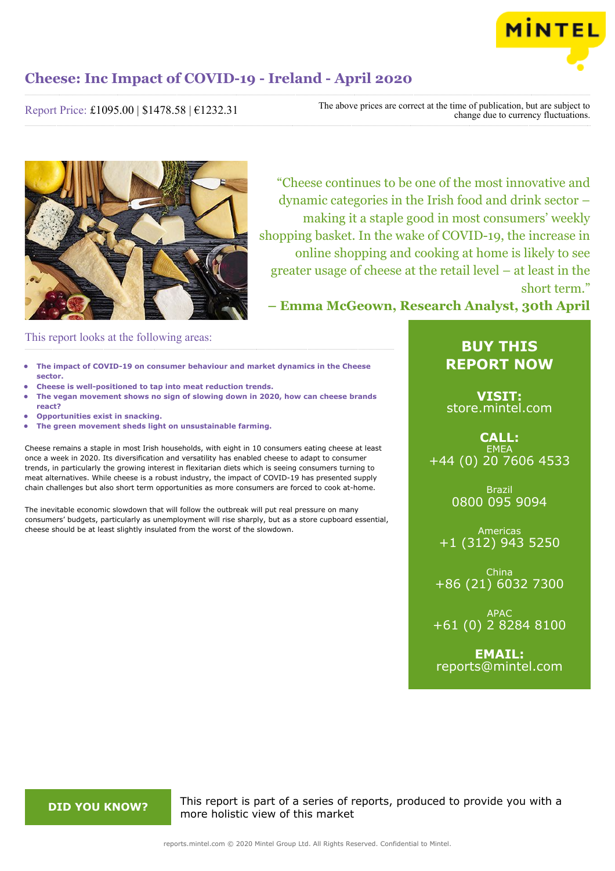

**2020**

### **Cheese: Inc Impact of COVID-19 - Ireland - April 2020**

Report Price: £1095.00 | \$1478.58 | €1232.31

The above prices are correct at the time of publication, but are subject to change due to currency fluctuations.



"Cheese continues to be one of the most innovative and dynamic categories in the Irish food and drink sector – making it a staple good in most consumers' weekly shopping basket. In the wake of COVID-19, the increase in online shopping and cooking at home is likely to see greater usage of cheese at the retail level – at least in the short term."

**– Emma McGeown, Research Analyst, 30th April**

### This report looks at the following areas:

- **• The impact of COVID-19 on consumer behaviour and market dynamics in the Cheese sector.**
- **• Cheese is well-positioned to tap into meat reduction trends.**
- **• The vegan movement shows no sign of slowing down in 2020, how can cheese brands react?**
- **• Opportunities exist in snacking.**
- **• The green movement sheds light on unsustainable farming.**

Cheese remains a staple in most Irish households, with eight in 10 consumers eating cheese at least once a week in 2020. Its diversification and versatility has enabled cheese to adapt to consumer trends, in particularly the growing interest in flexitarian diets which is seeing consumers turning to meat alternatives. While cheese is a robust industry, the impact of COVID-19 has presented supply chain challenges but also short term opportunities as more consumers are forced to cook at-home.

The inevitable economic slowdown that will follow the outbreak will put real pressure on many consumers' budgets, particularly as unemployment will rise sharply, but as a store cupboard essential, cheese should be at least slightly insulated from the worst of the slowdown.

### **BUY THIS REPORT NOW**

**VISIT:** [store.mintel.com](/reports.mintel.com//display/store/988110/)

**CALL: FMFA** +44 (0) 20 7606 4533

> Brazil 0800 095 9094

Americas +1 (312) 943 5250

China +86 (21) 6032 7300

APAC +61 (0) 2 8284 8100

**EMAIL:** [reports@mintel.com](mailto:reports@mintel.com)

**DID YOU KNOW?** This report is part of a series of reports, produced to provide you with a more holistic view of this market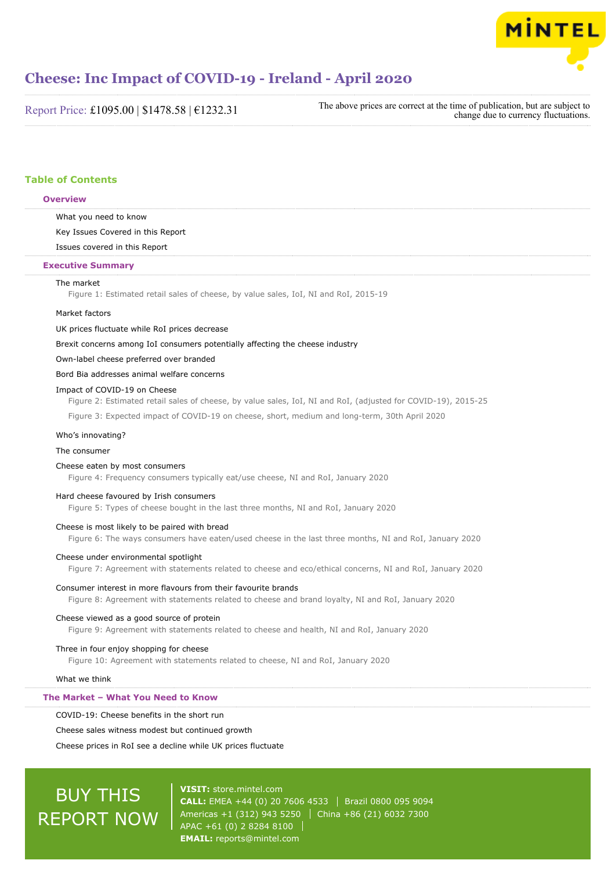

Report Price: £1095.00 | \$1478.58 | €1232.31

The above prices are correct at the time of publication, but are subject to change due to currency fluctuations.

#### **Table of Contents**

#### **Overview**

What you need to know

Key Issues Covered in this Report

Issues covered in this Report

#### **Executive Summary**

#### The market

Figure 1: Estimated retail sales of cheese, by value sales, IoI, NI and RoI, 2015-19

#### Market factors

UK prices fluctuate while RoI prices decrease

Brexit concerns among IoI consumers potentially affecting the cheese industry

Own-label cheese preferred over branded

Bord Bia addresses animal welfare concerns

#### Impact of COVID-19 on Cheese

Figure 2: Estimated retail sales of cheese, by value sales, IoI, NI and RoI, (adjusted for COVID-19), 2015-25

Figure 3: Expected impact of COVID-19 on cheese, short, medium and long-term, 30th April 2020

#### Who's innovating?

#### The consumer

#### Cheese eaten by most consumers

Figure 4: Frequency consumers typically eat/use cheese, NI and RoI, January 2020

#### Hard cheese favoured by Irish consumers

Figure 5: Types of cheese bought in the last three months, NI and RoI, January 2020

#### Cheese is most likely to be paired with bread

Figure 6: The ways consumers have eaten/used cheese in the last three months, NI and RoI, January 2020

#### Cheese under environmental spotlight

Figure 7: Agreement with statements related to cheese and eco/ethical concerns, NI and RoI, January 2020

#### Consumer interest in more flavours from their favourite brands

Figure 8: Agreement with statements related to cheese and brand loyalty, NI and RoI, January 2020

#### Cheese viewed as a good source of protein

Figure 9: Agreement with statements related to cheese and health, NI and RoI, January 2020

#### Three in four enjoy shopping for cheese

Figure 10: Agreement with statements related to cheese, NI and RoI, January 2020

What we think

#### **The Market – What You Need to Know**

#### COVID-19: Cheese benefits in the short run

Cheese sales witness modest but continued growth

Cheese prices in RoI see a decline while UK prices fluctuate

## BUY THIS REPORT NOW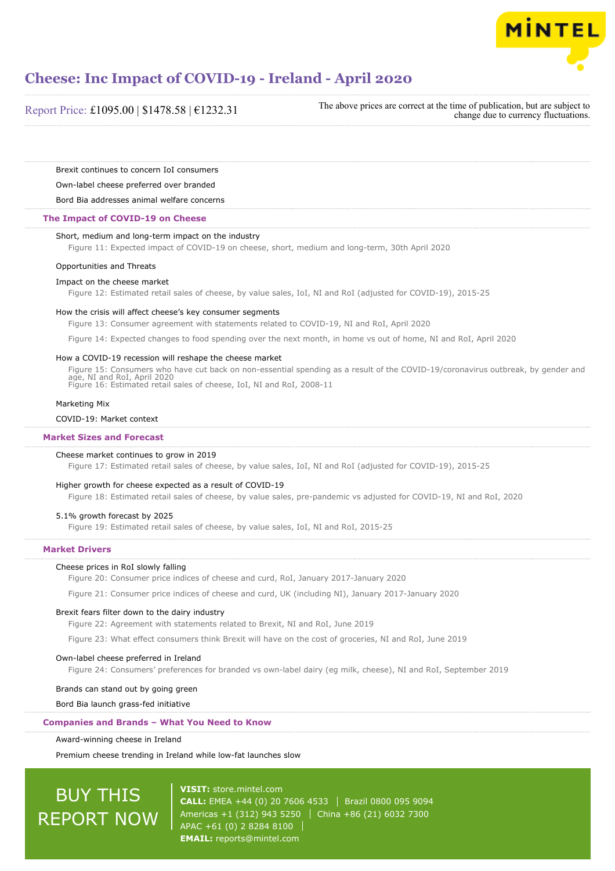

Report Price: £1095.00 | \$1478.58 | €1232.31

The above prices are correct at the time of publication, but are subject to change due to currency fluctuations.

Brexit continues to concern IoI consumers

Own-label cheese preferred over branded

Bord Bia addresses animal welfare concerns

#### **The Impact of COVID-19 on Cheese**

#### Short, medium and long-term impact on the industry

Figure 11: Expected impact of COVID-19 on cheese, short, medium and long-term, 30th April 2020

#### Opportunities and Threats

#### Impact on the cheese market

Figure 12: Estimated retail sales of cheese, by value sales, IoI, NI and RoI (adjusted for COVID-19), 2015-25

#### How the crisis will affect cheese's key consumer segments

Figure 13: Consumer agreement with statements related to COVID-19, NI and RoI, April 2020

Figure 14: Expected changes to food spending over the next month, in home vs out of home, NI and RoI, April 2020

#### How a COVID-19 recession will reshape the cheese market

Figure 15: Consumers who have cut back on non-essential spending as a result of the COVID-19/coronavirus outbreak, by gender and age, NI and RoI, April 2020 Figure 16: Estimated retail sales of cheese, IoI, NI and RoI, 2008-11

#### Marketing Mix

#### COVID-19: Market context

#### **Market Sizes and Forecast**

#### Cheese market continues to grow in 2019

Figure 17: Estimated retail sales of cheese, by value sales, IoI, NI and RoI (adjusted for COVID-19), 2015-25

#### Higher growth for cheese expected as a result of COVID-19

Figure 18: Estimated retail sales of cheese, by value sales, pre-pandemic vs adjusted for COVID-19, NI and RoI, 2020

#### 5.1% growth forecast by 2025

Figure 19: Estimated retail sales of cheese, by value sales, IoI, NI and RoI, 2015-25

#### **Market Drivers**

#### Cheese prices in RoI slowly falling

Figure 20: Consumer price indices of cheese and curd, RoI, January 2017-January 2020

Figure 21: Consumer price indices of cheese and curd, UK (including NI), January 2017-January 2020

#### Brexit fears filter down to the dairy industry

Figure 22: Agreement with statements related to Brexit, NI and RoI, June 2019

Figure 23: What effect consumers think Brexit will have on the cost of groceries, NI and RoI, June 2019

#### Own-label cheese preferred in Ireland

Figure 24: Consumers' preferences for branded vs own-label dairy (eg milk, cheese), NI and RoI, September 2019

#### Brands can stand out by going green

Bord Bia launch grass-fed initiative

#### **Companies and Brands – What You Need to Know**

#### Award-winning cheese in Ireland

Premium cheese trending in Ireland while low-fat launches slow

## BUY THIS REPORT NOW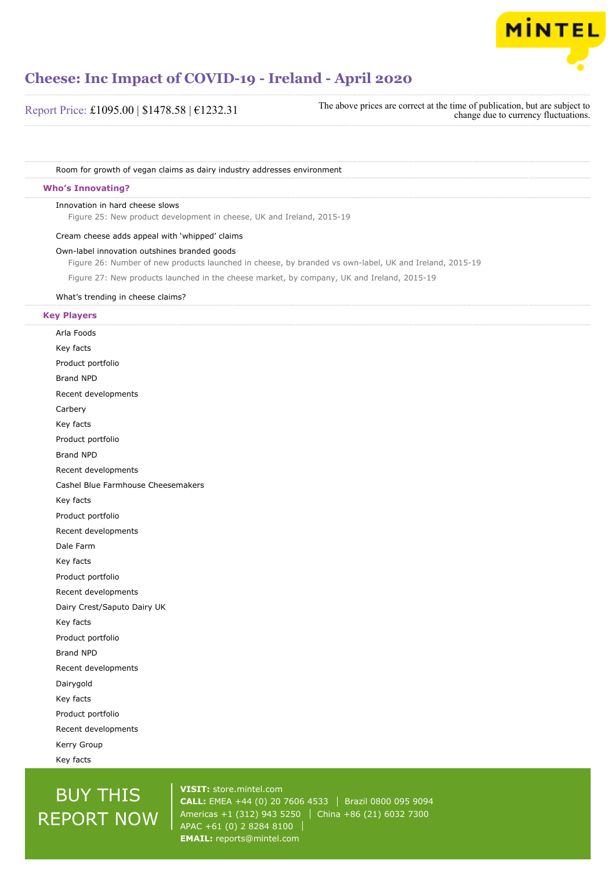

Room for growth of vegan claims as dairy industry addresses environment

#### **Who's Innovating?**

#### Innovation in hard cheese slows

Figure 25: New product development in cheese, UK and Ireland, 2015-19

#### Cream cheese adds appeal with 'whipped' claims

#### Own-label innovation outshines branded goods

Figure 26: Number of new products launched in cheese, by branded vs own-label, UK and Ireland, 2015-19

Figure 27: New products launched in the cheese market, by company, UK and Ireland, 2015-19

#### What's trending in cheese claims?

#### **Key Players**

Arla Foods Key facts Product portfolio Brand NPD Recent developments Carbery Key facts Product portfolio Brand NPD Recent developments Cashel Blue Farmhouse Cheesemakers Key facts Product portfolio Recent developments Dale Farm Key facts Product portfolio Recent developments Dairy Crest/Saputo Dairy UK Key facts Product portfolio Brand NPD Recent developments Dairygold Key facts Product portfolio Recent developments Kerry Group Key facts

## BUY THIS REPORT NOW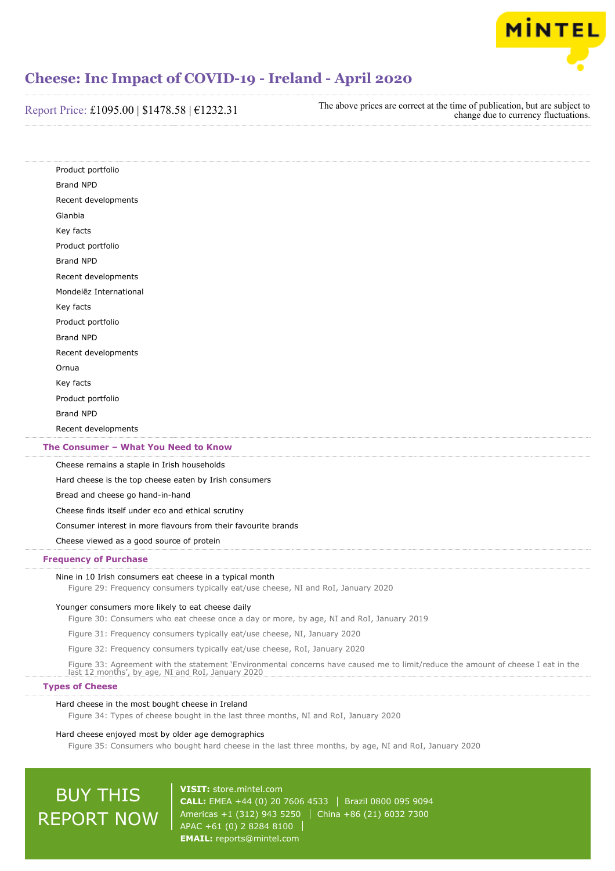

Report Price: £1095.00 | \$1478.58 | €1232.31 The above prices are correct at the time of publication, but are subject to change due to currency fluctuations.

| Product portfolio                                      |  |
|--------------------------------------------------------|--|
| <b>Brand NPD</b>                                       |  |
| Recent developments                                    |  |
| Glanbia                                                |  |
| Key facts                                              |  |
| Product portfolio                                      |  |
| <b>Brand NPD</b>                                       |  |
| Recent developments                                    |  |
| Mondelez International                                 |  |
| Key facts                                              |  |
| Product portfolio                                      |  |
| <b>Brand NPD</b>                                       |  |
| Recent developments                                    |  |
| Ornua                                                  |  |
| Key facts                                              |  |
| Product portfolio                                      |  |
| <b>Brand NPD</b>                                       |  |
| Recent developments                                    |  |
| The Consumer - What You Need to Know                   |  |
| Cheese remains a staple in Irish households            |  |
| Hard cheese is the top cheese eaten by Irish consumers |  |
| Bread and cheese go hand-in-hand                       |  |
| Cheese finds itself under eco and ethical scrutiny     |  |

Consumer interest in more flavours from their favourite brands

Cheese viewed as a good source of protein

#### **Frequency of Purchase**

#### Nine in 10 Irish consumers eat cheese in a typical month

Figure 29: Frequency consumers typically eat/use cheese, NI and RoI, January 2020

#### Younger consumers more likely to eat cheese daily

Figure 30: Consumers who eat cheese once a day or more, by age, NI and RoI, January 2019

Figure 31: Frequency consumers typically eat/use cheese, NI, January 2020

Figure 32: Frequency consumers typically eat/use cheese, RoI, January 2020

Figure 33: Agreement with the statement 'Environmental concerns have caused me to limit/reduce the amount of cheese I eat in the last 12 months', by age, NI and RoI, January 2020

#### **Types of Cheese**

#### Hard cheese in the most bought cheese in Ireland

Figure 34: Types of cheese bought in the last three months, NI and RoI, January 2020

#### Hard cheese enjoyed most by older age demographics

Figure 35: Consumers who bought hard cheese in the last three months, by age, NI and RoI, January 2020

## BUY THIS REPORT NOW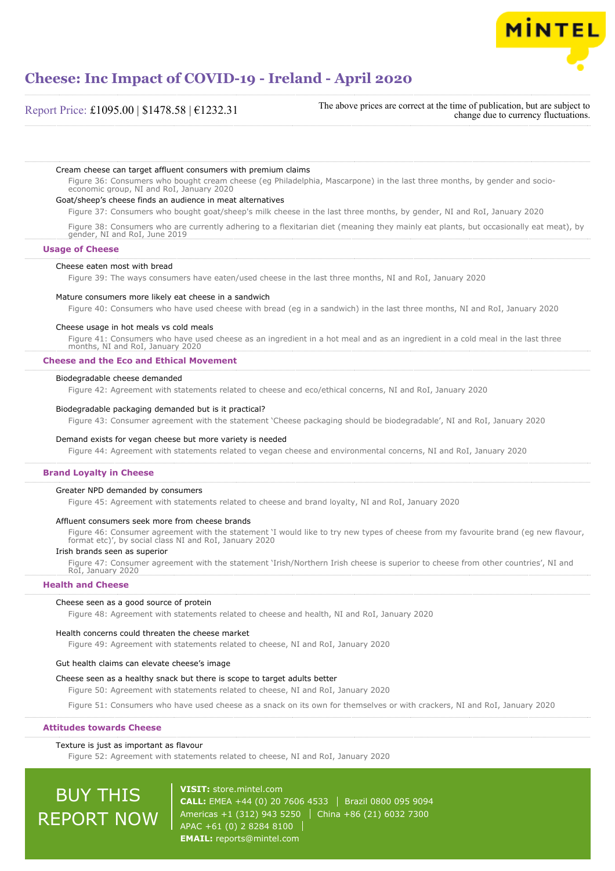

Report Price: £1095.00 | \$1478.58 | €1232.31

The above prices are correct at the time of publication, but are subject to change due to currency fluctuations.

Cream cheese can target affluent consumers with premium claims

Figure 36: Consumers who bought cream cheese (eg Philadelphia, Mascarpone) in the last three months, by gender and socioeconomic group, NI and RoI, January 2020

#### Goat/sheep's cheese finds an audience in meat alternatives

Figure 37: Consumers who bought goat/sheep's milk cheese in the last three months, by gender, NI and RoI, January 2020

Figure 38: Consumers who are currently adhering to a flexitarian diet (meaning they mainly eat plants, but occasionally eat meat), by gender, NI and RoI, June 2019

**Usage of Cheese**

#### Cheese eaten most with bread

Figure 39: The ways consumers have eaten/used cheese in the last three months, NI and RoI, January 2020

#### Mature consumers more likely eat cheese in a sandwich

Figure 40: Consumers who have used cheese with bread (eg in a sandwich) in the last three months, NI and RoI, January 2020

#### Cheese usage in hot meals vs cold meals

Figure 41: Consumers who have used cheese as an ingredient in a hot meal and as an ingredient in a cold meal in the last three months, NI and RoI, January 2020

#### **Cheese and the Eco and Ethical Movement**

#### Biodegradable cheese demanded

Figure 42: Agreement with statements related to cheese and eco/ethical concerns, NI and RoI, January 2020

#### Biodegradable packaging demanded but is it practical?

Figure 43: Consumer agreement with the statement 'Cheese packaging should be biodegradable', NI and RoI, January 2020

#### Demand exists for vegan cheese but more variety is needed

Figure 44: Agreement with statements related to vegan cheese and environmental concerns, NI and RoI, January 2020

#### **Brand Loyalty in Cheese**

#### Greater NPD demanded by consumers

Figure 45: Agreement with statements related to cheese and brand loyalty, NI and RoI, January 2020

#### Affluent consumers seek more from cheese brands

Figure 46: Consumer agreement with the statement 'I would like to try new types of cheese from my favourite brand (eg new flavour, format etc)', by social class NI and RoI, January 2020

#### Irish brands seen as superior

Figure 47: Consumer agreement with the statement 'Irish/Northern Irish cheese is superior to cheese from other countries', NI and RoI, January 2020

#### **Health and Cheese**

#### Cheese seen as a good source of protein

Figure 48: Agreement with statements related to cheese and health, NI and RoI, January 2020

#### Health concerns could threaten the cheese market

Figure 49: Agreement with statements related to cheese, NI and RoI, January 2020

#### Gut health claims can elevate cheese's image

#### Cheese seen as a healthy snack but there is scope to target adults better

Figure 50: Agreement with statements related to cheese, NI and RoI, January 2020

Figure 51: Consumers who have used cheese as a snack on its own for themselves or with crackers, NI and RoI, January 2020

#### **Attitudes towards Cheese**

#### Texture is just as important as flavour

Figure 52: Agreement with statements related to cheese, NI and RoI, January 2020

# BUY THIS REPORT NOW